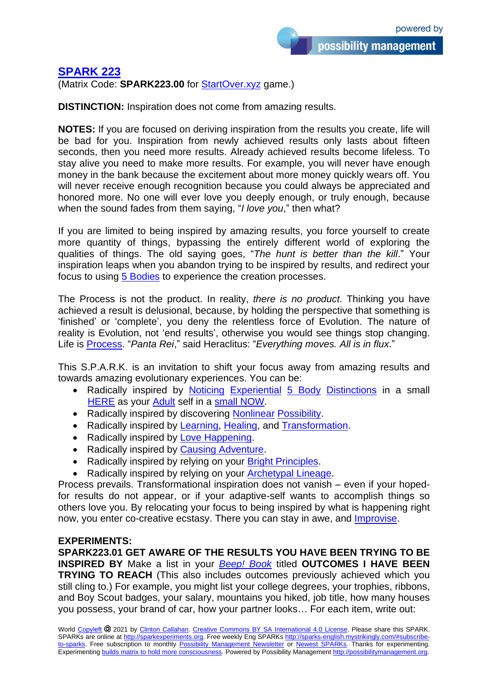possibility management

## **SPARK 223**

(Matrix Code: **SPARK223.00** for StartOver.xyz game.)

**DISTINCTION:** Inspiration does not come from amazing results.

**NOTES:** If you are focused on deriving inspiration from the results you create, life will be bad for you. Inspiration from newly achieved results only lasts about fifteen seconds, then you need more results. Already achieved results become lifeless. To stay alive you need to make more results. For example, you will never have enough money in the bank because the excitement about more money quickly wears off. You will never receive enough recognition because you could always be appreciated and honored more. No one will ever love you deeply enough, or truly enough, because when the sound fades from them saying, "*I love you*," then what?

If you are limited to being inspired by amazing results, you force yourself to create more quantity of things, bypassing the entirely different world of exploring the qualities of things. The old saying goes, "*The hunt is better than the kill*." Your inspiration leaps when you abandon trying to be inspired by results, and redirect your focus to using 5 Bodies to experience the creation processes.

The Process is not the product. In reality, *there is no product*. Thinking you have achieved a result is delusional, because, by holding the perspective that something is 'finished' or 'complete', you deny the relentless force of Evolution. The nature of reality is Evolution, not 'end results', otherwise you would see things stop changing. Life is Process. "*Panta Rei*," said Heraclitus: "*Everything moves. All is in flux*."

This S.P.A.R.K. is an invitation to shift your focus away from amazing results and towards amazing evolutionary experiences. You can be:

- Radically inspired by Noticing Experiential 5 Body Distinctions in a small HERE as your Adult self in a small NOW.
- Radically inspired by discovering Nonlinear Possibility.
- Radically inspired by Learning, Healing, and Transformation.
- Radically inspired by Love Happening.
- Radically inspired by Causing Adventure.
- Radically inspired by relying on your Bright Principles.
- Radically inspired by relying on your Archetypal Lineage.

Process prevails. Transformational inspiration does not vanish – even if your hopedfor results do not appear, or if your adaptive-self wants to accomplish things so others love you. By relocating your focus to being inspired by what is happening right now, you enter co-creative ecstasy. There you can stay in awe, and Improvise.

## **EXPERIMENTS:**

**SPARK223.01 GET AWARE OF THE RESULTS YOU HAVE BEEN TRYING TO BE INSPIRED BY** Make a list in your *Beep! Book* titled **OUTCOMES I HAVE BEEN TRYING TO REACH** (This also includes outcomes previously achieved which you still cling to.) For example, you might list your college degrees, your trophies, ribbons, and Boy Scout badges, your salary, mountains you hiked, job title, how many houses you possess, your brand of car, how your partner looks… For each item, write out: